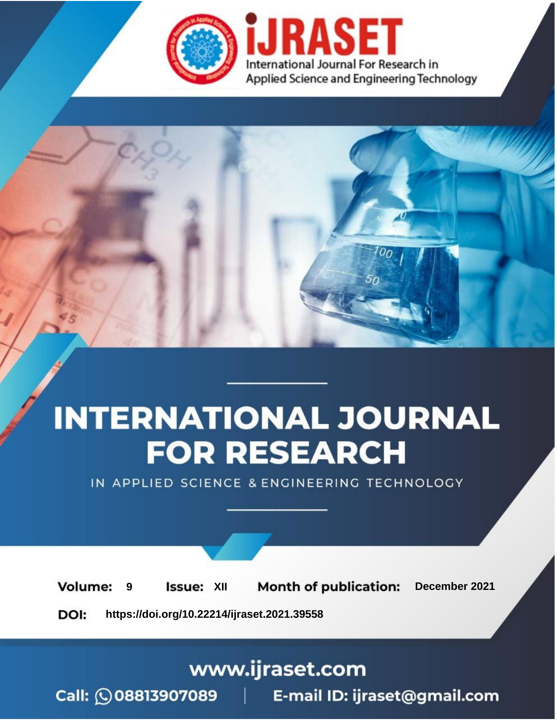

# **INTERNATIONAL JOURNAL FOR RESEARCH**

IN APPLIED SCIENCE & ENGINEERING TECHNOLOGY

**Month of publication: Volume: Issue: XII** December 2021 9 DOI: https://doi.org/10.22214/ijraset.2021.39558

www.ijraset.com

Call: 008813907089 | E-mail ID: ijraset@gmail.com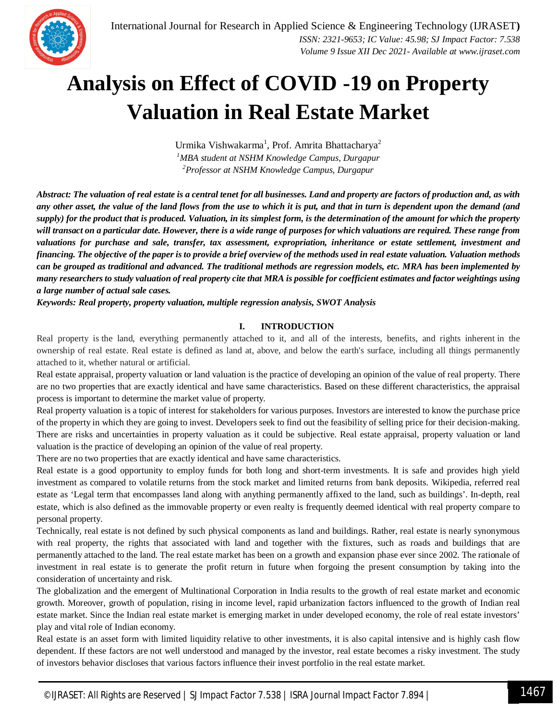

### **Analysis on Effect of COVID -19 on Property Valuation in Real Estate Market**

Urmika Vishwakarma<sup>1</sup>, Prof. Amrita Bhattacharya<sup>2</sup> *<sup>1</sup>MBA student at NSHM Knowledge Campus, Durgapur <sup>2</sup>Professor at NSHM Knowledge Campus, Durgapur*

*Abstract: The valuation of real estate is a central tenet for all businesses. Land and property are factors of production and, as with any other asset, the value of the land flows from the use to which it is put, and that in turn is dependent upon the demand (and supply) for the product that is produced. Valuation, in its simplest form, is the determination of the amount for which the property will transact on a particular date. However, there is a wide range of purposes for which valuations are required. These range from valuations for purchase and sale, transfer, tax assessment, expropriation, inheritance or estate settlement, investment and financing. The objective of the paper is to provide a brief overview of the methods used in real estate valuation. Valuation methods can be grouped as traditional and advanced. The traditional methods are regression models, etc. MRA has been implemented by many researchers to study valuation of real property cite that MRA is possible for coefficient estimates and factor weightings using a large number of actual sale cases.*

*Keywords: Real property, property valuation, multiple regression analysis, SWOT Analysis*

#### **I. INTRODUCTION**

Real property is the land, everything permanently attached to it, and all of the interests, benefits, and rights inherent in the ownership of real estate. Real estate is defined as land at, above, and below the earth's surface, including all things permanently attached to it, whether natural or artificial.

Real estate appraisal, property valuation or land valuation is the practice of developing an opinion of the value of real property. There are no two properties that are exactly identical and have same characteristics. Based on these different characteristics, the appraisal process is important to determine the market value of property.

Real property valuation is a topic of interest for stakeholders for various purposes. Investors are interested to know the purchase price of the property in which they are going to invest. Developers seek to find out the feasibility of selling price for their decision-making. There are risks and uncertainties in property valuation as it could be subjective. Real estate appraisal, property valuation or land valuation is the practice of developing an opinion of the value of real property.

There are no two properties that are exactly identical and have same characteristics.

Real estate is a good opportunity to employ funds for both long and short-term investments. It is safe and provides high yield investment as compared to volatile returns from the stock market and limited returns from bank deposits. Wikipedia, referred real estate as 'Legal term that encompasses land along with anything permanently affixed to the land, such as buildings'. In-depth, real estate, which is also defined as the immovable property or even realty is frequently deemed identical with real property compare to personal property.

Technically, real estate is not defined by such physical components as land and buildings. Rather, real estate is nearly synonymous with real property, the rights that associated with land and together with the fixtures, such as roads and buildings that are permanently attached to the land. The real estate market has been on a growth and expansion phase ever since 2002. The rationale of investment in real estate is to generate the profit return in future when forgoing the present consumption by taking into the consideration of uncertainty and risk.

The globalization and the emergent of Multinational Corporation in India results to the growth of real estate market and economic growth. Moreover, growth of population, rising in income level, rapid urbanization factors influenced to the growth of Indian real estate market. Since the Indian real estate market is emerging market in under developed economy, the role of real estate investors' play and vital role of Indian economy.

Real estate is an asset form with limited liquidity relative to other investments, it is also capital intensive and is highly cash flow dependent. If these factors are not well understood and managed by the investor, real estate becomes a risky investment. The study of investors behavior discloses that various factors influence their invest portfolio in the real estate market.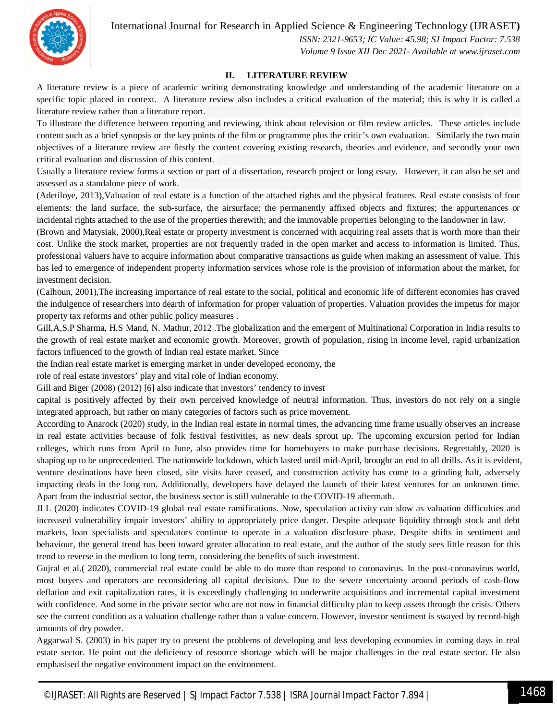International Journal for Research in Applied Science & Engineering Technology (IJRASET**)**



*ISSN: 2321-9653; IC Value: 45.98; SJ Impact Factor: 7.538 Volume 9 Issue XII Dec 2021- Available at www.ijraset.com*

#### **II. LITERATURE REVIEW**

A literature review is a piece of academic writing demonstrating knowledge and understanding of the academic literature on a specific topic placed in context. A literature review also includes a critical evaluation of the material; this is why it is called a literature review rather than a literature report.

To illustrate the difference between reporting and reviewing, think about television or film review articles. These articles include content such as a brief synopsis or the key points of the film or programme plus the critic's own evaluation. Similarly the two main objectives of a literature review are firstly the content covering existing research, theories and evidence, and secondly your own critical evaluation and discussion of this content.

Usually a literature review forms a section or part of a dissertation, research project or long essay. However, it can also be set and assessed as a standalone piece of work.

(Adetiloye, 2013),Valuation of real estate is a function of the attached rights and the physical features. Real estate consists of four elements: the land surface, the sub-surface, the airsurface; the permanently affixed objects and fixtures; the appurtenances or incidental rights attached to the use of the properties therewith; and the immovable properties belonging to the landowner in law.

(Brown and Matysiak, 2000),Real estate or property investment is concerned with acquiring real assets that is worth more than their cost. Unlike the stock market, properties are not frequently traded in the open market and access to information is limited. Thus, professional valuers have to acquire information about comparative transactions as guide when making an assessment of value. This has led to emergence of independent property information services whose role is the provision of information about the market, for investment decision.

(Calhoun, 2001),The increasing importance of real estate to the social, political and economic life of different economies has craved the indulgence of researchers into dearth of information for proper valuation of properties. Valuation provides the impetus for major property tax reforms and other public policy measures .

Gill,A,S.P Sharma, H.S Mand, N. Mathur, 2012 .The globalization and the emergent of Multinational Corporation in India results to the growth of real estate market and economic growth. Moreover, growth of population, rising in income level, rapid urbanization factors influenced to the growth of Indian real estate market. Since

the Indian real estate market is emerging market in under developed economy, the

role of real estate investors' play and vital role of Indian economy.

Gill and Biger (2008) (2012) [6] also indicate that investors' tendency to invest

capital is positively affected by their own perceived knowledge of neutral information. Thus, investors do not rely on a single integrated approach, but rather on many categories of factors such as price movement.

According to Anarock (2020) study, in the Indian real estate in normal times, the advancing time frame usually observes an increase in real estate activities because of folk festival festivities, as new deals sprout up. The upcoming excursion period for Indian colleges, which runs from April to June, also provides time for homebuyers to make purchase decisions. Regrettably, 2020 is shaping up to be unprecedented. The nationwide lockdown, which lasted until mid-April, brought an end to all drills. As it is evident, venture destinations have been closed, site visits have ceased, and construction activity has come to a grinding halt, adversely impacting deals in the long run. Additionally, developers have delayed the launch of their latest ventures for an unknown time. Apart from the industrial sector, the business sector is still vulnerable to the COVID-19 aftermath.

JLL (2020) indicates COVID-19 global real estate ramifications. Now, speculation activity can slow as valuation difficulties and increased vulnerability impair investors' ability to appropriately price danger. Despite adequate liquidity through stock and debt markets, loan specialists and speculators continue to operate in a valuation disclosure phase. Despite shifts in sentiment and behaviour, the general trend has been toward greater allocation to real estate, and the author of the study sees little reason for this trend to reverse in the medium to long term, considering the benefits of such investment.

Gujral et al.( 2020), commercial real estate could be able to do more than respond to coronavirus. In the post-coronavirus world, most buyers and operators are reconsidering all capital decisions. Due to the severe uncertainty around periods of cash-flow deflation and exit capitalization rates, it is exceedingly challenging to underwrite acquisitions and incremental capital investment with confidence. And some in the private sector who are not now in financial difficulty plan to keep assets through the crisis. Others see the current condition as a valuation challenge rather than a value concern. However, investor sentiment is swayed by record-high amounts of dry powder.

Aggarwal S. (2003) in his paper try to present the problems of developing and less developing economies in coming days in real estate sector. He point out the deficiency of resource shortage which will be major challenges in the real estate sector. He also emphasised the negative environment impact on the environment.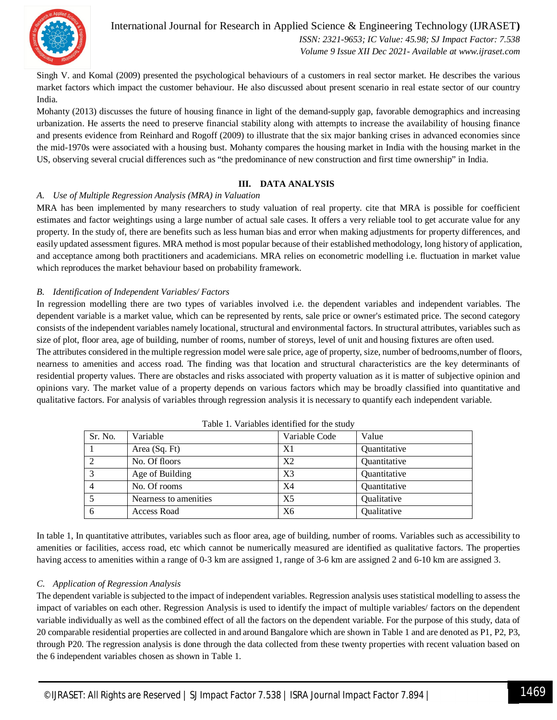

International Journal for Research in Applied Science & Engineering Technology (IJRASET**)** *ISSN: 2321-9653; IC Value: 45.98; SJ Impact Factor: 7.538 Volume 9 Issue XII Dec 2021- Available at www.ijraset.com*

Singh V. and Komal (2009) presented the psychological behaviours of a customers in real sector market. He describes the various market factors which impact the customer behaviour. He also discussed about present scenario in real estate sector of our country India.

Mohanty (2013) discusses the future of housing finance in light of the demand-supply gap, favorable demographics and increasing urbanization. He asserts the need to preserve financial stability along with attempts to increase the availability of housing finance and presents evidence from Reinhard and Rogoff (2009) to illustrate that the six major banking crises in advanced economies since the mid-1970s were associated with a housing bust. Mohanty compares the housing market in India with the housing market in the US, observing several crucial differences such as "the predominance of new construction and first time ownership" in India.

#### **III. DATA ANALYSIS**

#### *A. Use of Multiple Regression Analysis (MRA) in Valuation*

MRA has been implemented by many researchers to study valuation of real property. cite that MRA is possible for coefficient estimates and factor weightings using a large number of actual sale cases. It offers a very reliable tool to get accurate value for any property. In the study of, there are benefits such as less human bias and error when making adjustments for property differences, and easily updated assessment figures. MRA method is most popular because of their established methodology, long history of application, and acceptance among both practitioners and academicians. MRA relies on econometric modelling i.e. fluctuation in market value which reproduces the market behaviour based on probability framework.

#### *B. Identification of Independent Variables/ Factors*

In regression modelling there are two types of variables involved i.e. the dependent variables and independent variables. The dependent variable is a market value, which can be represented by rents, sale price or owner's estimated price. The second category consists of the independent variables namely locational, structural and environmental factors. In structural attributes, variables such as size of plot, floor area, age of building, number of rooms, number of storeys, level of unit and housing fixtures are often used.

The attributes considered in the multiple regression model were sale price, age of property, size, number of bedrooms,number of floors, nearness to amenities and access road. The finding was that location and structural characteristics are the key determinants of residential property values. There are obstacles and risks associated with property valuation as it is matter of subjective opinion and opinions vary. The market value of a property depends on various factors which may be broadly classified into quantitative and qualitative factors. For analysis of variables through regression analysis it is necessary to quantify each independent variable.

| Sr. No. | Variable              | Variable Code | Value        |
|---------|-----------------------|---------------|--------------|
|         | Area (Sq. Ft)         | X1            | Quantitative |
|         | No. Of floors         | X2            | Quantitative |
|         | Age of Building       | X3            | Quantitative |
|         | No. Of rooms          | X4            | Quantitative |
|         | Nearness to amenities | X5            | Qualitative  |
| -6      | <b>Access Road</b>    | X6            | Qualitative  |

Table 1. Variables identified for the study

In table 1, In quantitative attributes, variables such as floor area, age of building, number of rooms. Variables such as accessibility to amenities or facilities, access road, etc which cannot be numerically measured are identified as qualitative factors. The properties having access to amenities within a range of 0-3 km are assigned 1, range of 3-6 km are assigned 2 and 6-10 km are assigned 3.

#### *C. Application of Regression Analysis*

The dependent variable is subjected to the impact of independent variables. Regression analysis uses statistical modelling to assess the impact of variables on each other. Regression Analysis is used to identify the impact of multiple variables/ factors on the dependent variable individually as well as the combined effect of all the factors on the dependent variable. For the purpose of this study, data of 20 comparable residential properties are collected in and around Bangalore which are shown in Table 1 and are denoted as P1, P2, P3, through P20. The regression analysis is done through the data collected from these twenty properties with recent valuation based on the 6 independent variables chosen as shown in Table 1.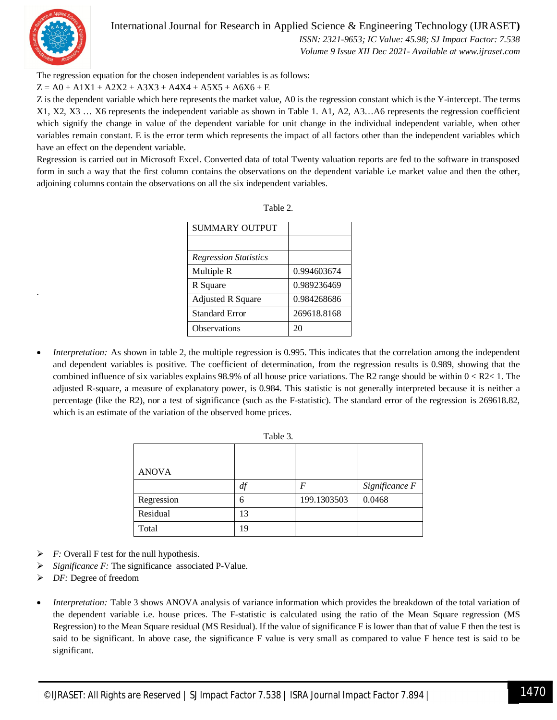

.

#### International Journal for Research in Applied Science & Engineering Technology (IJRASET**)**

*ISSN: 2321-9653; IC Value: 45.98; SJ Impact Factor: 7.538*

*Volume 9 Issue XII Dec 2021- Available at www.ijraset.com*

The regression equation for the chosen independent variables is as follows:

 $Z = AO + A1X1 + A2X2 + A3X3 + A4X4 + A5X5 + A6X6 + E$ 

Z is the dependent variable which here represents the market value, A0 is the regression constant which is the Y-intercept. The terms X1, X2, X3 … X6 represents the independent variable as shown in Table 1. A1, A2, A3…A6 represents the regression coefficient which signify the change in value of the dependent variable for unit change in the individual independent variable, when other variables remain constant. E is the error term which represents the impact of all factors other than the independent variables which have an effect on the dependent variable.

Regression is carried out in Microsoft Excel. Converted data of total Twenty valuation reports are fed to the software in transposed form in such a way that the first column contains the observations on the dependent variable i.e market value and then the other, adjoining columns contain the observations on all the six independent variables.

Table 2.

| SUMMARY OUTPUT               |             |
|------------------------------|-------------|
|                              |             |
| <b>Regression Statistics</b> |             |
| Multiple R                   | 0.994603674 |
| R Square                     | 0.989236469 |
| <b>Adjusted R Square</b>     | 0.984268686 |
| <b>Standard Error</b>        | 269618.8168 |
| <b>Observations</b>          | 20          |

 *Interpretation:* As shown in table 2, the multiple regression is 0.995. This indicates that the correlation among the independent and dependent variables is positive. The coefficient of determination, from the regression results is 0.989, showing that the combined influence of six variables explains 98.9% of all house price variations. The R2 range should be within  $0 < R2 < 1$ . The adjusted R-square, a measure of explanatory power, is 0.984. This statistic is not generally interpreted because it is neither a percentage (like the R2), nor a test of significance (such as the F-statistic). The standard error of the regression is 269618.82, which is an estimate of the variation of the observed home prices.

| <b>L</b> avit <i>J</i> . |    |             |                |  |
|--------------------------|----|-------------|----------------|--|
|                          |    |             |                |  |
| <b>ANOVA</b>             |    |             |                |  |
|                          | df | F           | Significance F |  |
| Regression               | 6  | 199.1303503 | 0.0468         |  |
| Residual                 | 13 |             |                |  |
| Total                    | 19 |             |                |  |

Table 3.

- *F:* Overall F test for the null hypothesis.
- *Significance F:* The significance associated P-Value.
- *DF:* Degree of freedom
- *Interpretation:* Table 3 shows ANOVA analysis of variance information which provides the breakdown of the total variation of the dependent variable i.e. house prices. The F-statistic is calculated using the ratio of the Mean Square regression (MS Regression) to the Mean Square residual (MS Residual). If the value of significance F is lower than that of value F then the test is said to be significant. In above case, the significance F value is very small as compared to value F hence test is said to be significant.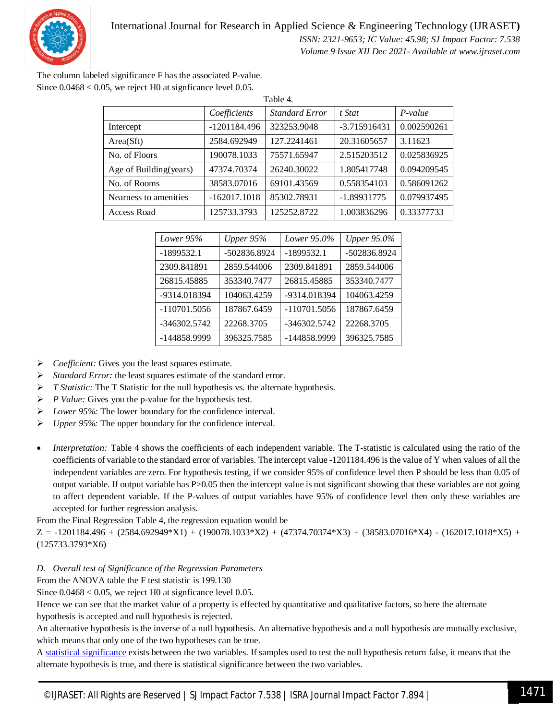

The column labeled significance F has the associated P-value. Since  $0.0468 < 0.05$ , we reject H0 at signficance level 0.05.

| Table 4.               |                |                       |                |             |
|------------------------|----------------|-----------------------|----------------|-------------|
|                        | Coefficients   | <b>Standard Error</b> | t Stat         | $P-value$   |
| Intercept              | -1201184.496   | 323253.9048           | $-3.715916431$ | 0.002590261 |
| Area(Stt)              | 2584.692949    | 127.2241461           | 20.31605657    | 3.11623     |
| No. of Floors          | 190078.1033    | 75571.65947           | 2.515203512    | 0.025836925 |
| Age of Building(years) | 47374.70374    | 26240.30022           | 1.805417748    | 0.094209545 |
| No. of Rooms           | 38583.07016    | 69101.43569           | 0.558354103    | 0.586091262 |
| Nearness to amenities  | $-162017.1018$ | 85302.78931           | $-1.89931775$  | 0.079937495 |
| <b>Access Road</b>     | 125733.3793    | 125252.8722           | 1.003836296    | 0.33377733  |

| Lower 95%      | Upper $95%$  | Lower 95.0%  | <b>Upper 95.0%</b> |
|----------------|--------------|--------------|--------------------|
| $-1899532.1$   | -502836.8924 | $-1899532.1$ | -502836.8924       |
| 2309.841891    | 2859.544006  | 2309.841891  | 2859.544006        |
| 26815.45885    | 353340.7477  | 26815.45885  | 353340.7477        |
| -9314.018394   | 104063.4259  | -9314.018394 | 104063.4259        |
| $-110701.5056$ | 187867.6459  | -110701.5056 | 187867.6459        |
| -346302.5742   | 22268.3705   | -346302.5742 | 22268.3705         |
| -144858.9999   | 396325.7585  | -144858.9999 | 396325.7585        |

- *Coefficient:* Gives you the least squares estimate.
- *Standard Error:* the least squares estimate of the standard error.
- *T Statistic:* The T Statistic for the null hypothesis vs. the alternate hypothesis.
- *P Value:* Gives you the p-value for the hypothesis test.
- *Lower 95%:* The lower boundary for the confidence interval.
- *Upper 95%:* The upper boundary for the confidence interval.
- *Interpretation:* Table 4 shows the coefficients of each independent variable. The T-statistic is calculated using the ratio of the coefficients of variable to the standard error of variables. The intercept value -1201184.496 is the value of Y when values of all the independent variables are zero. For hypothesis testing, if we consider 95% of confidence level then P should be less than 0.05 of output variable. If output variable has P>0.05 then the intercept value is not significant showing that these variables are not going to affect dependent variable. If the P-values of output variables have 95% of confidence level then only these variables are accepted for further regression analysis.

From the Final Regression Table 4, the regression equation would be

 $Z = -1201184.496 + (2584.692949*K1) + (190078.1033*K2) + (47374.70374*K3) + (38583.07016*K4) - (162017.1018*K5) + (161014K)(161.0004)$ (125733.3793\*X6)

#### *D. Overall test of Significance of the Regression Parameters*

From the ANOVA table the F test statistic is 199.130

Since  $0.0468 < 0.05$ , we reject H0 at signficance level 0.05.

Hence we can see that the market value of a property is effected by quantitative and qualitative factors, so here the alternate hypothesis is accepted and null hypothesis is rejected.

An alternative hypothesis is the inverse of a null hypothesis. An alternative hypothesis and a null hypothesis are mutually exclusive, which means that only one of the two hypotheses can be true.

A statistical significance exists between the two variables. If samples used to test the null hypothesis return false, it means that the alternate hypothesis is true, and there is statistical significance between the two variables.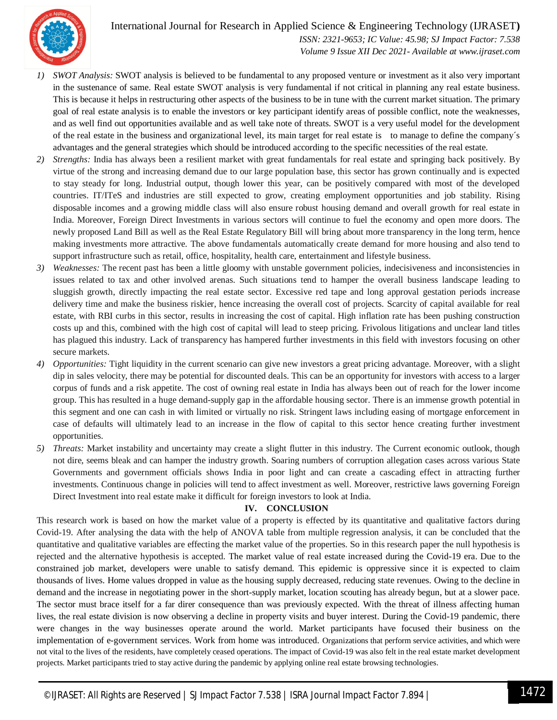International Journal for Research in Applied Science & Engineering Technology (IJRASET**)**



*ISSN: 2321-9653; IC Value: 45.98; SJ Impact Factor: 7.538 Volume 9 Issue XII Dec 2021- Available at www.ijraset.com*

- *1) SWOT Analysis:* SWOT analysis is believed to be fundamental to any proposed venture or investment as it also very important in the sustenance of same. Real estate SWOT analysis is very fundamental if not critical in planning any real estate business. This is because it helps in restructuring other aspects of the business to be in tune with the current market situation. The primary goal of real estate analysis is to enable the investors or key participant identify areas of possible conflict, note the weaknesses, and as well find out opportunities available and as well take note of threats. SWOT is a very useful model for the development of the real estate in the business and organizational level, its main target for real estate is to manage to define the company´s advantages and the general strategies which should be introduced according to the specific necessities of the real estate.
- *2) Strengths:* India has always been a resilient market with great fundamentals for real estate and springing back positively. By virtue of the strong and increasing demand due to our large population base, this sector has grown continually and is expected to stay steady for long. Industrial output, though lower this year, can be positively compared with most of the developed countries. IT/ITeS and industries are still expected to grow, creating employment opportunities and job stability. Rising disposable incomes and a growing middle class will also ensure robust housing demand and overall growth for real estate in India. Moreover, Foreign Direct Investments in various sectors will continue to fuel the economy and open more doors. The newly proposed Land Bill as well as the Real Estate Regulatory Bill will bring about more transparency in the long term, hence making investments more attractive. The above fundamentals automatically create demand for more housing and also tend to support infrastructure such as retail, office, hospitality, health care, entertainment and lifestyle business.
- *3) Weaknesses:* The recent past has been a little gloomy with unstable government policies, indecisiveness and inconsistencies in issues related to tax and other involved arenas. Such situations tend to hamper the overall business landscape leading to sluggish growth, directly impacting the real estate sector. Excessive red tape and long approval gestation periods increase delivery time and make the business riskier, hence increasing the overall cost of projects. Scarcity of capital available for real estate, with RBI curbs in this sector, results in increasing the cost of capital. High inflation rate has been pushing construction costs up and this, combined with the high cost of capital will lead to steep pricing. Frivolous litigations and unclear land titles has plagued this industry. Lack of transparency has hampered further investments in this field with investors focusing on other secure markets.
- *4) Opportunities:* Tight liquidity in the current scenario can give new investors a great pricing advantage. Moreover, with a slight dip in sales velocity, there may be potential for discounted deals. This can be an opportunity for investors with access to a larger corpus of funds and a risk appetite. The cost of owning real estate in India has always been out of reach for the lower income group. This has resulted in a huge demand-supply gap in the affordable housing sector. There is an immense growth potential in this segment and one can cash in with limited or virtually no risk. Stringent laws including easing of mortgage enforcement in case of defaults will ultimately lead to an increase in the flow of capital to this sector hence creating further investment opportunities.
- *5) Threats:* Market instability and uncertainty may create a slight flutter in this industry. The Current economic outlook, though not dire, seems bleak and can hamper the industry growth. Soaring numbers of corruption allegation cases across various State Governments and government officials shows India in poor light and can create a cascading effect in attracting further investments. Continuous change in policies will tend to affect investment as well. Moreover, restrictive laws governing Foreign Direct Investment into real estate make it difficult for foreign investors to look at India.

#### **IV. CONCLUSION**

This research work is based on how the market value of a property is effected by its quantitative and qualitative factors during Covid-19. After analysing the data with the help of ANOVA table from multiple regression analysis, it can be concluded that the quantitative and qualitative variables are effecting the market value of the properties. So in this research paper the null hypothesis is rejected and the alternative hypothesis is accepted. The market value of real estate increased during the Covid-19 era. Due to the constrained job market, developers were unable to satisfy demand. This epidemic is oppressive since it is expected to claim thousands of lives. Home values dropped in value as the housing supply decreased, reducing state revenues. Owing to the decline in demand and the increase in negotiating power in the short-supply market, location scouting has already begun, but at a slower pace. The sector must brace itself for a far direr consequence than was previously expected. With the threat of illness affecting human lives, the real estate division is now observing a decline in property visits and buyer interest. During the Covid-19 pandemic, there were changes in the way businesses operate around the world. Market participants have focused their business on the implementation of e-government services. Work from home was introduced. Organizations that perform service activities, and which were not vital to the lives of the residents, have completely ceased operations. The impact of Covid-19 was also felt in the real estate market development projects. Market participants tried to stay active during the pandemic by applying online real estate browsing technologies.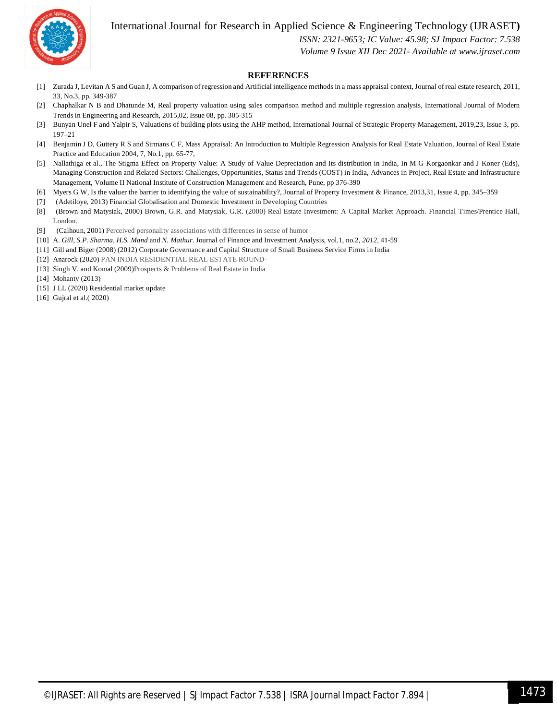

#### International Journal for Research in Applied Science & Engineering Technology (IJRASET**)**

*ISSN: 2321-9653; IC Value: 45.98; SJ Impact Factor: 7.538*

*Volume 9 Issue XII Dec 2021- Available at www.ijraset.com*

#### **REFERENCES**

- [1] Zurada J, Levitan A S and Guan J, A comparison of regression and Artificial intelligence methods in a mass appraisal context, Journal of real estate research, 2011, 33, No.3, pp. 349-387
- [2] Chaphalkar N B and Dhatunde M, Real property valuation using sales comparison method and multiple regression analysis, International Journal of Modern Trends in Engineering and Research, 2015,02, Issue 08, pp. 305-315
- [3] Bunyan Unel F and Yalpir S, Valuations of building plots using the AHP method, International Journal of Strategic Property Management, 2019,23, Issue 3, pp. 197–21
- [4] Benjamin J D, Guttery R S and Sirmans C F, Mass Appraisal: An Introduction to Multiple Regression Analysis for Real Estate Valuation, Journal of Real Estate Practice and Education 2004, 7, No.1, pp. 65-77,
- [5] Nallathiga et al., The Stigma Effect on Property Value: A Study of Value Depreciation and Its distribution in India, In M G Korgaonkar and J Koner (Eds), Managing Construction and Related Sectors: Challenges, Opportunities, Status and Trends (COST) in India, Advances in Project, Real Estate and Infrastructure Management, Volume II National Institute of Construction Management and Research, Pune, pp 376-390
- [6] Myers G W, Is the valuer the barrier to identifying the value of sustainability?, Journal of Property Investment & Finance, 2013,31, Issue 4, pp. 345–359
- [7] (Adetiloye, 2013) Financial Globalisation and Domestic Investment in Developing Countries
- [8] (Brown and Matysiak, 2000) Brown, G.R. and Matysiak, G.R. (2000) Real Estate Investment: A Capital Market Approach. Financial Times/Prentice Hall, London.
- [9] (Calhoun, 2001) Perceived personality associations with differences in sense of humor
- [10] A. *Gill*, *S.P. Sharma*, *H.S. Mand* and *N*. *Mathur*. Journal of Finance and Investment Analysis, vol.1, no.2, *2012*, 41-59
- [11] Gill and Biger (2008) (2012) Corporate Governance and Capital Structure of Small Business Service Firms in India
- [12] Anarock (2020) PAN INDIA RESIDENTIAL REAL ESTATE ROUND-
- [13] Singh V. and Komal (2009)Prospects & Problems of Real Estate in India
- [14] Mohanty (2013)
- [15] J LL (2020) Residential market update
- [16] Gujral et al. (2020)